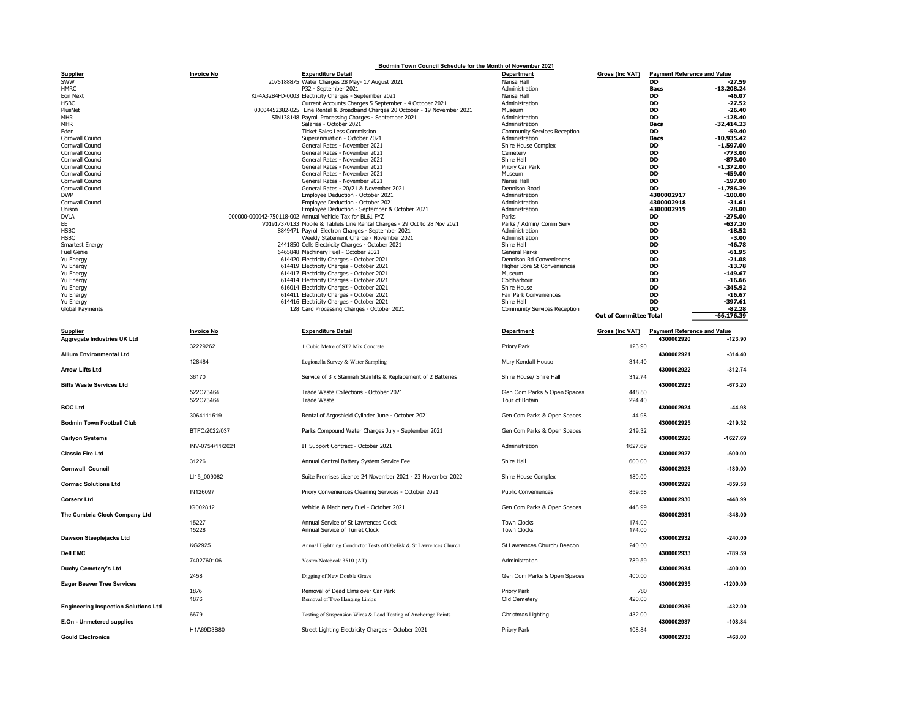|                                                | Bodmin Town Council Schedule for the Month of November 2021 |                                                                                             |                                       |                               |                                    |                          |  |  |  |
|------------------------------------------------|-------------------------------------------------------------|---------------------------------------------------------------------------------------------|---------------------------------------|-------------------------------|------------------------------------|--------------------------|--|--|--|
| <b>Supplier</b>                                | <b>Invoice No</b>                                           | <b>Expenditure Detail</b>                                                                   | Department                            | <b>Gross (Inc VAT)</b>        | <b>Payment Reference and Value</b> |                          |  |  |  |
| SWW<br><b>HMRC</b>                             |                                                             | 2075188875 Water Charges 28 May- 17 August 2021<br>P32 - September 2021                     | Narisa Hall                           |                               | <b>DD</b>                          | $-27.59$<br>$-13,208.24$ |  |  |  |
| Eon Next                                       |                                                             | KI-4A32B4FD-0003 Electricity Charges - September 2021                                       | Administration<br>Narisa Hall         |                               | <b>Bacs</b><br>DD                  | $-46.07$                 |  |  |  |
| <b>HSBC</b>                                    |                                                             | Current Accounts Charges 5 September - 4 October 2021                                       | Administration                        |                               | DD                                 | $-27.52$                 |  |  |  |
| PlusNet                                        |                                                             | 00004452382-025 Line Rental & Broadband Charges 20 October - 19 November 2021               | Museum                                |                               | <b>DD</b>                          | $-26.40$                 |  |  |  |
| <b>MHR</b>                                     |                                                             | SIN138148 Payroll Processing Charges - September 2021                                       | Administration                        |                               | DD                                 | -128.40                  |  |  |  |
| <b>MHR</b>                                     |                                                             | Salaries - October 2021                                                                     | Administration                        |                               | <b>Bacs</b>                        | $-32,414.23$             |  |  |  |
| Eden                                           |                                                             | <b>Ticket Sales Less Commission</b><br>Superannuation - October 2021                        | Community Services Reception          |                               | <b>DD</b>                          | $-59.40$<br>$-10,935.42$ |  |  |  |
| Cornwall Council<br>Cornwall Council           |                                                             | General Rates - November 2021                                                               | Administration<br>Shire House Complex |                               | <b>Bacs</b><br><b>DD</b>           | $-1,597.00$              |  |  |  |
| Cornwall Council                               |                                                             | General Rates - November 2021                                                               | Cemetery                              |                               | <b>DD</b>                          | $-773.00$                |  |  |  |
| Cornwall Council                               |                                                             | General Rates - November 2021                                                               | Shire Hall                            |                               | DD                                 | $-873.00$                |  |  |  |
| Cornwall Council                               |                                                             | General Rates - November 2021                                                               | Priory Car Park                       |                               | DD                                 | $-1,372.00$              |  |  |  |
| Cornwall Council                               |                                                             | General Rates - November 2021                                                               | Museum                                |                               | <b>DD</b>                          | $-459.00$                |  |  |  |
| Cornwall Council                               |                                                             | General Rates - November 2021                                                               | Narisa Hall                           |                               | DD<br><b>DD</b>                    | $-197.00$                |  |  |  |
| Cornwall Council<br><b>DWP</b>                 |                                                             | General Rates - 20/21 & November 2021<br>Employee Deduction - October 2021                  | Dennison Road<br>Administration       |                               | 4300002917                         | $-1,786.39$<br>$-100.00$ |  |  |  |
| Cornwall Council                               |                                                             | Employee Deduction - October 2021                                                           | Administration                        |                               | 4300002918                         | $-31.61$                 |  |  |  |
| Unison                                         |                                                             | Employee Deduction - September & October 2021                                               | Administration                        |                               | 4300002919                         | $-28.00$                 |  |  |  |
| <b>DVLA</b>                                    |                                                             | 000000-000042-750118-002 Annual Vehicle Tax for BL61 FYZ                                    | Parks                                 |                               | <b>DD</b>                          | $-275.00$                |  |  |  |
| EE                                             |                                                             | V01917370133 Mobile & Tablets Line Rental Charges - 29 Oct to 28 Nov 2021                   | Parks / Admin/ Comm Serv              |                               | DD                                 | $-637.20$                |  |  |  |
| <b>HSBC</b><br><b>HSBC</b>                     |                                                             | 8849471 Payroll Electron Charges - September 2021                                           | Administration<br>Administration      |                               | DD<br>DD                           | $-18.52$<br>$-3.00$      |  |  |  |
| <b>Smartest Energy</b>                         |                                                             | Weekly Statement Charge - November 2021<br>2441850 Cells Electricity Charges - October 2021 | Shire Hall                            |                               | DD                                 | $-46.78$                 |  |  |  |
| <b>Fuel Genie</b>                              |                                                             | 6465848 Machinery Fuel - October 2021                                                       | General Parks                         |                               | DD                                 | $-61.95$                 |  |  |  |
| Yu Energy                                      |                                                             | 614420 Electricity Charges - October 2021                                                   | Dennison Rd Conveniences              |                               | DD                                 | $-21.08$                 |  |  |  |
| Yu Energy                                      |                                                             | 614419 Electricity Charges - October 2021                                                   | Higher Bore St Conveniences           |                               | DD                                 | $-13.78$                 |  |  |  |
| Yu Energy                                      |                                                             | 614417 Electricity Charges - October 2021                                                   | Museum                                |                               | <b>DD</b>                          | $-149.67$                |  |  |  |
| Yu Energy                                      |                                                             | 614414 Electricity Charges - October 2021                                                   | Coldharbour                           |                               | DD                                 | $-16.66$                 |  |  |  |
| Yu Energy                                      |                                                             | 616014 Electricity Charges - October 2021<br>614411 Electricity Charges - October 2021      | Shire House<br>Fair Park Conveniences |                               | <b>DD</b><br><b>DD</b>             | $-345.92$<br>$-16.67$    |  |  |  |
| Yu Energy<br>Yu Energy                         |                                                             | 614416 Electricity Charges - October 2021                                                   | Shire Hall                            |                               | DD                                 | $-397.61$                |  |  |  |
| Global Payments                                |                                                             | 128 Card Processing Charges - October 2021                                                  | Community Services Reception          |                               | <b>DD</b>                          | $-82.28$                 |  |  |  |
|                                                |                                                             |                                                                                             |                                       | <b>Out of Committee Total</b> |                                    | -66,176.39               |  |  |  |
|                                                |                                                             |                                                                                             |                                       | Gross (Inc VAT)               | <b>Payment Reference and Value</b> |                          |  |  |  |
| <b>Supplier</b><br>Aggregate Industries UK Ltd | <b>Invoice No</b>                                           | <b>Expenditure Detail</b>                                                                   | Department                            |                               | 4300002920                         | $-123.90$                |  |  |  |
|                                                | 32229262                                                    | 1 Cubic Metre of ST2 Mix Concrete                                                           | Priory Park                           | 123.90                        |                                    |                          |  |  |  |
|                                                |                                                             |                                                                                             |                                       |                               |                                    |                          |  |  |  |
| <b>Allium Environmental Ltd</b>                |                                                             |                                                                                             |                                       |                               | 4300002921                         | $-314.40$                |  |  |  |
|                                                | 128484                                                      | Legionella Survey & Water Sampling                                                          | Mary Kendall House                    | 314.40                        |                                    |                          |  |  |  |
| <b>Arrow Lifts Ltd</b>                         |                                                             |                                                                                             |                                       |                               | 4300002922                         | $-312.74$                |  |  |  |
|                                                | 36170                                                       | Service of 3 x Stannah Stairlifts & Replacement of 2 Batteries                              | Shire House/ Shire Hall               | 312.74                        |                                    |                          |  |  |  |
| <b>Biffa Waste Services Ltd</b>                |                                                             |                                                                                             |                                       |                               | 4300002923                         | $-673.20$                |  |  |  |
|                                                | 522C73464                                                   | Trade Waste Collections - October 2021                                                      | Gen Com Parks & Open Spaces           | 448.80                        |                                    |                          |  |  |  |
|                                                | 522C73464                                                   | <b>Trade Waste</b>                                                                          | Tour of Britain                       | 224.40                        |                                    |                          |  |  |  |
| <b>BOC Ltd</b>                                 |                                                             |                                                                                             |                                       |                               | 4300002924                         | $-44.98$                 |  |  |  |
|                                                | 3064111519                                                  | Rental of Argoshield Cylinder June - October 2021                                           | Gen Com Parks & Open Spaces           | 44.98                         |                                    |                          |  |  |  |
| <b>Bodmin Town Football Club</b>               |                                                             |                                                                                             |                                       |                               | 4300002925                         | $-219.32$                |  |  |  |
|                                                | BTFC/2022/037                                               | Parks Compound Water Charges July - September 2021                                          | Gen Com Parks & Open Spaces           | 219.32                        |                                    |                          |  |  |  |
| <b>Carlyon Systems</b>                         | INV-0754/11/2021                                            | IT Support Contract - October 2021                                                          | Administration                        | 1627.69                       | 4300002926                         | -1627.69                 |  |  |  |
| <b>Classic Fire Ltd</b>                        |                                                             |                                                                                             |                                       |                               | 4300002927                         | $-600.00$                |  |  |  |
|                                                | 31226                                                       | Annual Central Battery System Service Fee                                                   | Shire Hall                            | 600.00                        |                                    |                          |  |  |  |
| <b>Cornwall Council</b>                        |                                                             |                                                                                             |                                       |                               | 4300002928                         | $-180.00$                |  |  |  |
|                                                | LI15_009082                                                 | Suite Premises Licence 24 November 2021 - 23 November 2022                                  | Shire House Complex                   | 180.00                        |                                    |                          |  |  |  |
| <b>Cormac Solutions Ltd</b>                    |                                                             |                                                                                             |                                       |                               | 4300002929                         | $-859.58$                |  |  |  |
|                                                | IN126097                                                    | Priory Conveniences Cleaning Services - October 2021                                        | <b>Public Conveniences</b>            | 859.58                        |                                    |                          |  |  |  |
| <b>Corserv Ltd</b>                             |                                                             |                                                                                             |                                       |                               | 4300002930                         | -448.99                  |  |  |  |
|                                                | IG002812                                                    | Vehicle & Machinery Fuel - October 2021                                                     | Gen Com Parks & Open Spaces           | 448.99                        |                                    |                          |  |  |  |
| The Cumbria Clock Company Ltd                  |                                                             |                                                                                             |                                       |                               | 4300002931                         | $-348.00$                |  |  |  |
|                                                | 15227                                                       | Annual Service of St Lawrences Clock                                                        | <b>Town Clocks</b>                    | 174.00                        |                                    |                          |  |  |  |
| Dawson Steeplejacks Ltd                        | 15228                                                       | Annual Service of Turret Clock                                                              | <b>Town Clocks</b>                    | 174.00                        | 4300002932                         | $-240.00$                |  |  |  |
|                                                | KG2925                                                      | Annual Lightning Conductor Tests of Obelisk & St Lawrences Church                           | St Lawrences Church/ Beacon           | 240.00                        |                                    |                          |  |  |  |
| <b>Dell EMC</b>                                |                                                             |                                                                                             |                                       |                               | 4300002933                         | $-789.59$                |  |  |  |
|                                                | 7402760106                                                  | Vostro Notebook 3510 (AT)                                                                   | Administration                        | 789.59                        |                                    |                          |  |  |  |
| Duchy Cemetery's Ltd                           |                                                             |                                                                                             |                                       |                               | 4300002934                         | $-400.00$                |  |  |  |
|                                                | 2458                                                        | Digging of New Double Grave                                                                 | Gen Com Parks & Open Spaces           | 400.00                        |                                    |                          |  |  |  |
| <b>Eager Beaver Tree Services</b>              |                                                             |                                                                                             |                                       |                               | 4300002935                         | $-1200.00$               |  |  |  |
|                                                | 1876                                                        | Removal of Dead Elms over Car Park                                                          | Priory Park                           | 780                           |                                    |                          |  |  |  |
|                                                | 1876                                                        | Removal of Two Hanging Limbs                                                                | Old Cemetery                          | 420.00                        |                                    |                          |  |  |  |
| <b>Engineering Inspection Solutions Ltd</b>    | 6679                                                        |                                                                                             | Christmas Lighting                    | 432.00                        | 4300002936                         | $-432.00$                |  |  |  |
| E.On - Unmetered supplies                      |                                                             | Testing of Suspension Wires & Load Testing of Anchorage Points                              |                                       |                               | 4300002937                         | $-108.84$                |  |  |  |
| <b>Gould Electronics</b>                       | H1A69D3B80                                                  | Street Lighting Electricity Charges - October 2021                                          | Priory Park                           | 108.84                        | 4300002938                         | $-468.00$                |  |  |  |